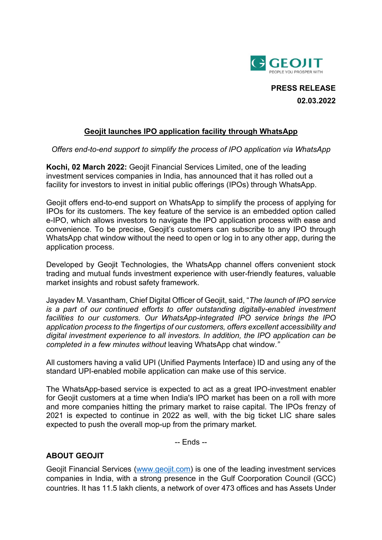

**PRESS RELEASE 02.03.2022**

## **Geojit launches IPO application facility through WhatsApp**

*Offers end-to-end support to simplify the process of IPO application via WhatsApp*

**Kochi, 02 March 2022:** Geojit Financial Services Limited, one of the leading investment services companies in India, has announced that it has rolled out a facility for investors to invest in initial public offerings (IPOs) through WhatsApp.

Geojit offers end-to-end support on WhatsApp to simplify the process of applying for IPOs for its customers. The key feature of the service is an embedded option called e-IPO, which allows investors to navigate the IPO application process with ease and convenience. To be precise, Geojit's customers can subscribe to any IPO through WhatsApp chat window without the need to open or log in to any other app, during the application process.

Developed by Geojit Technologies, the WhatsApp channel offers convenient stock trading and mutual funds investment experience with user-friendly features, valuable market insights and robust safety framework.

Jayadev M. Vasantham, Chief Digital Officer of Geojit, said, "*The launch of IPO service is a part of our continued efforts to offer outstanding digitally-enabled investment facilities to our customers. Our WhatsApp-integrated IPO service brings the IPO application process to the fingertips of our customers, offers excellent accessibility and digital investment experience to all investors. In addition, the IPO application can be completed in a few minutes without* leaving WhatsApp chat window.*"*

All customers having a valid UPI (Unified Payments Interface) ID and using any of the standard UPI-enabled mobile application can make use of this service.

The WhatsApp-based service is expected to act as a great IPO-investment enabler for Geojit customers at a time when India's IPO market has been on a roll with more and more companies hitting the primary market to raise capital. The IPOs frenzy of 2021 is expected to continue in 2022 as well, with the big ticket LIC share sales expected to push the overall mop-up from the primary market.

-- Ends --

## **ABOUT GEOJIT**

Geojit Financial Services [\(www.geojit.com\)](http://www.geojit.com/) is one of the leading investment services companies in India, with a strong presence in the Gulf Coorporation Council (GCC) countries. It has 11.5 lakh clients, a network of over 473 offices and has Assets Under